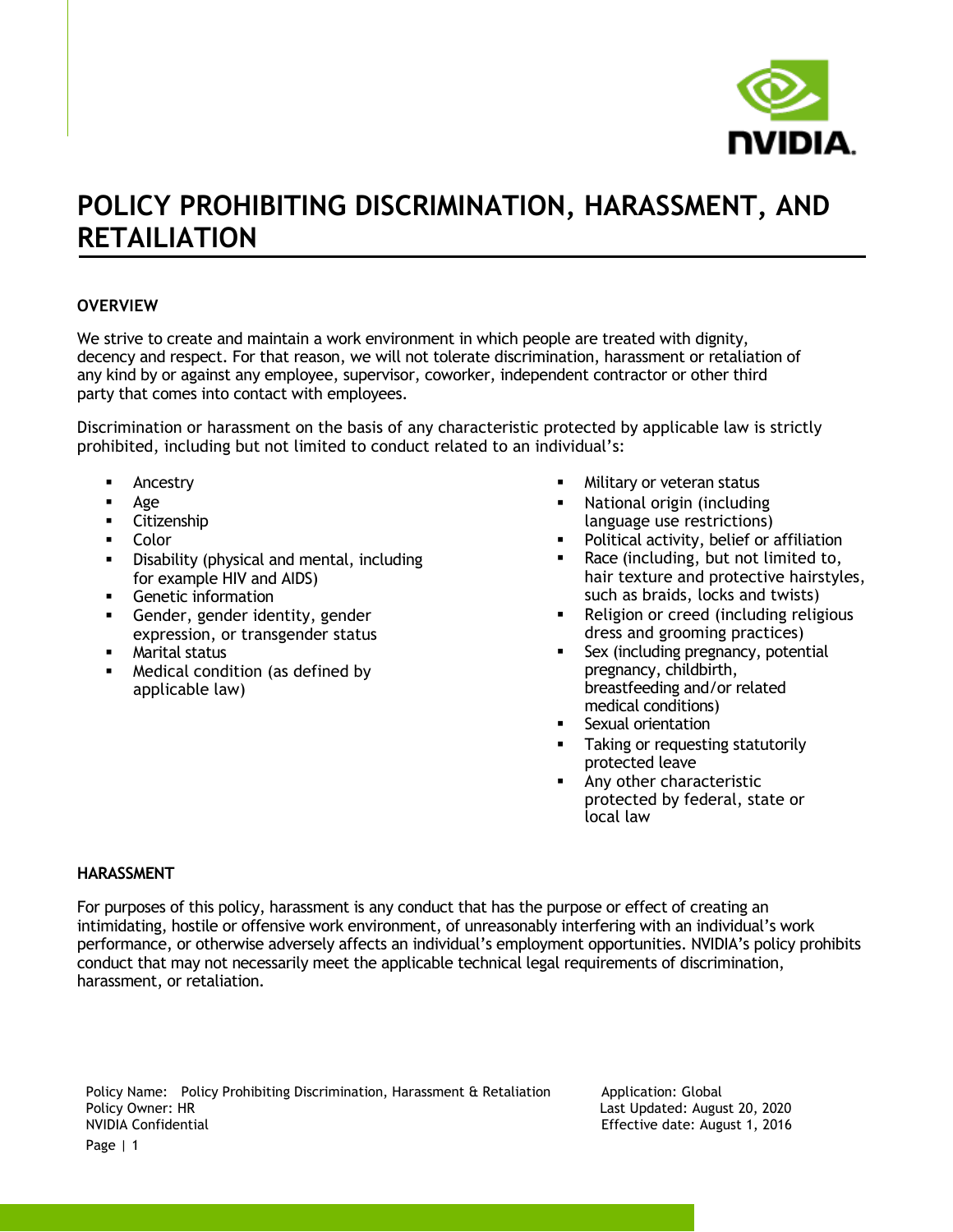

## **POLICY PROHIBITING DISCRIMINATION, HARASSMENT, AND RETAILIATION**

### **OVERVIEW**

We strive to create and maintain a work environment in which people are treated with dignity, decency and respect. For that reason, we will not tolerate discrimination, harassment or retaliation of any kind by or against any employee, supervisor, coworker, independent contractor or other third party that comes into contact with employees.

Discrimination or harassment on the basis of any characteristic protected by applicable law is strictly prohibited, including but not limited to conduct related to an individual's:

- Ancestry
- Age
- Citizenship
- Color
- Disability (physical and mental, including for example HIV and AIDS)
- Genetic information
- **EXEC** Gender, gender identity, gender expression, or transgender status
- **■** Marital status
- Medical condition (as defined by applicable law)
- Military or veteran status
- National origin (including language use restrictions)
- Political activity, belief or affiliation
- Race (including, but not limited to, hair texture and protective hairstyles, such as braids, locks and twists)
- Religion or creed (including religious dress and grooming practices)
- Sex (including pregnancy, potential pregnancy, childbirth, breastfeeding and/or related medical conditions)
- Sexual orientation
- Taking or requesting statutorily protected leave
- Any other characteristic protected by federal, state or local law

#### **HARASSMENT**

For purposes of this policy, harassment is any conduct that has the purpose or effect of creating an intimidating, hostile or offensive work environment, of unreasonably interfering with an individual's work performance, or otherwise adversely affects an individual's employment opportunities. NVIDIA's policy prohibits conduct that may not necessarily meet the applicable technical legal requirements of discrimination, harassment, or retaliation.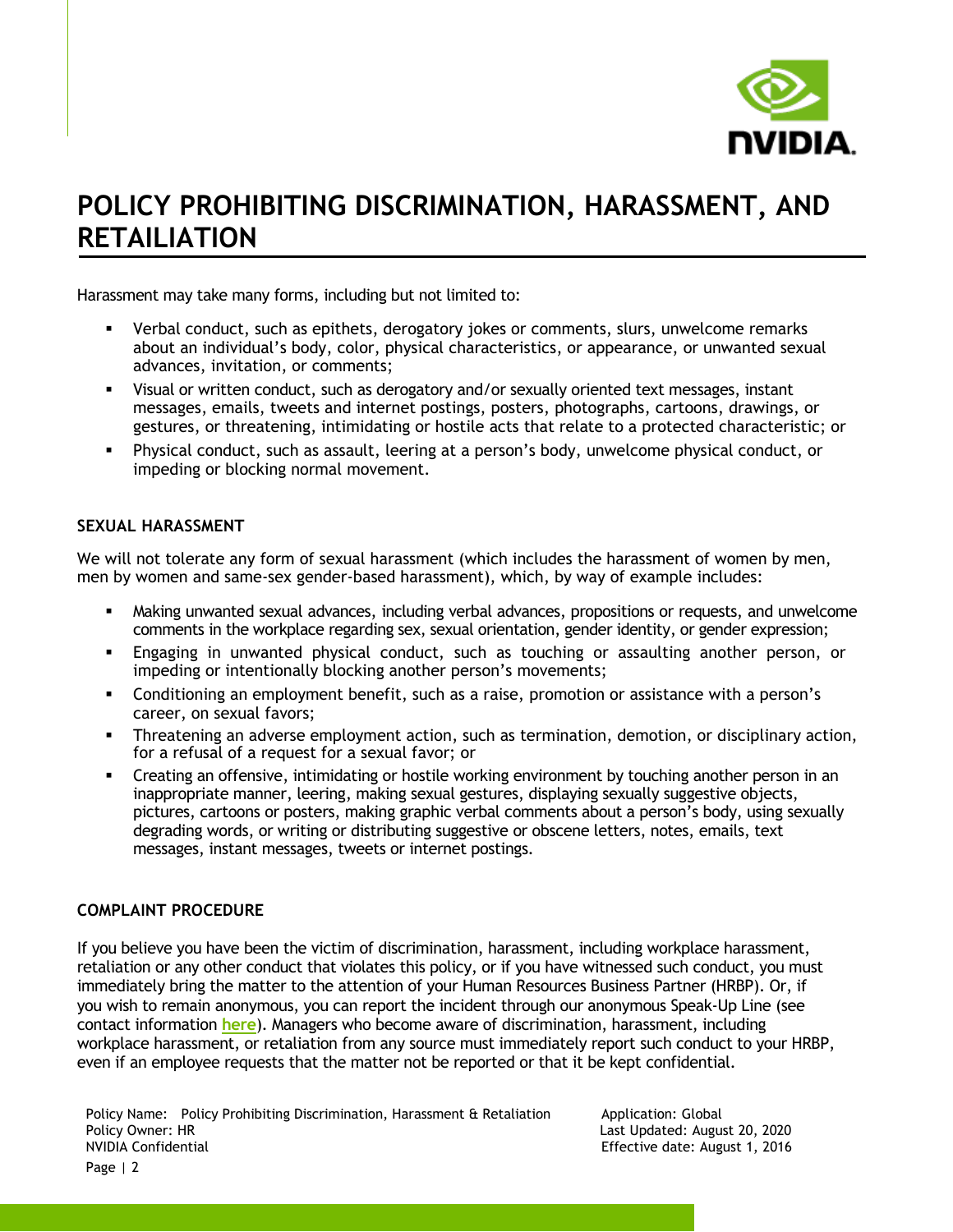

## **POLICY PROHIBITING DISCRIMINATION, HARASSMENT, AND RETAILIATION**

Harassment may take many forms, including but not limited to:

- Verbal conduct, such as epithets, derogatory jokes or comments, slurs, unwelcome remarks about an individual's body, color, physical characteristics, or appearance, or unwanted sexual advances, invitation, or comments;
- Visual or written conduct, such as derogatory and/or sexually oriented text messages, instant messages, emails, tweets and internet postings, posters, photographs, cartoons, drawings, or gestures, or threatening, intimidating or hostile acts that relate to a protected characteristic; or
- Physical conduct, such as assault, leering at a person's body, unwelcome physical conduct, or impeding or blocking normal movement.

### **SEXUAL HARASSMENT**

We will not tolerate any form of sexual harassment (which includes the harassment of women by men, men by women and same-sex gender-based harassment), which, by way of example includes:

- **•** Making unwanted sexual advances, including verbal advances, propositions or requests, and unwelcome comments in the workplace regarding sex, sexual orientation, gender identity, or gender expression;
- Engaging in unwanted physical conduct, such as touching or assaulting another person, or impeding or intentionally blocking another person's movements;
- **•** Conditioning an employment benefit, such as a raise, promotion or assistance with a person's career, on sexual favors;
- Threatening an adverse employment action, such as termination, demotion, or disciplinary action, for a refusal of a request for a sexual favor; or
- Creating an offensive, intimidating or hostile working environment by touching another person in an inappropriate manner, leering, making sexual gestures, displaying sexually suggestive objects, pictures, cartoons or posters, making graphic verbal comments about a person's body, using sexually degrading words, or writing or distributing suggestive or obscene letters, notes, emails, text messages, instant messages, tweets or internet postings.

### **COMPLAINT PROCEDURE**

If you believe you have been the victim of discrimination, harassment, including workplace harassment, retaliation or any other conduct that violates this policy, or if you have witnessed such conduct, you must immediately bring the matter to the attention of your Human Resources Business Partner (HRBP). Or, if you wish to remain anonymous, you can report the incident through our anonymous Speak-Up Line (see contact information **[here](https://nvidia.sharepoint.com/sites/nvinfo/speakup/Pages/default.aspx)**). Managers who become aware of discrimination, harassment, including workplace harassment, or retaliation from any source must immediately report such conduct to your HRBP, even if an employee requests that the matter not be reported or that it be kept confidential.

Effective date: August 1, 2016